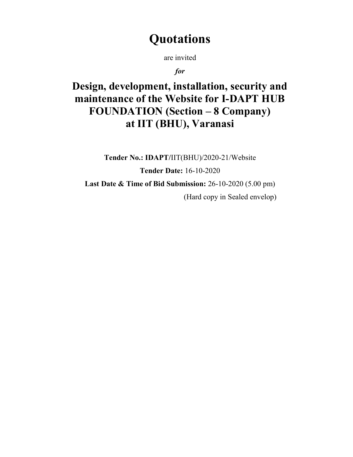# **Quotations**

are invited

for

Design, development, installation, security and maintenance of the Website for I-DAPT HUB FOUNDATION (Section – 8 Company) at IIT (BHU), Varanasi

Tender No.: IDAPT/IIT(BHU)/2020-21/Website Tender Date: 16-10-2020 Last Date & Time of Bid Submission: 26-10-2020 (5.00 pm) (Hard copy in Sealed envelop)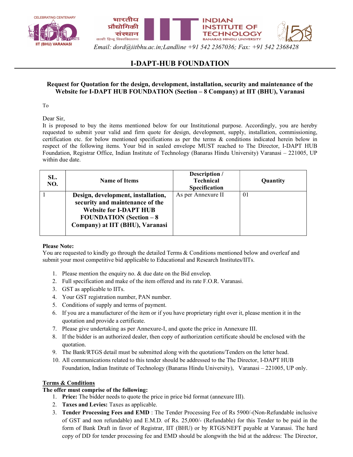



Email: dord@iitbhu.ac.in;Landline +91 542 2367036; Fax: +91 542 2368428

# I-DAPT-HUB FOUNDATION

# Request for Quotation for the design, development, installation, security and maintenance of the Website for I-DAPT HUB FOUNDATION (Section – 8 Company) at IIT (BHU), Varanasi

To

Dear Sir,

It is proposed to buy the items mentioned below for our Institutional purpose. Accordingly, you are hereby requested to submit your valid and firm quote for design, development, supply, installation, commissioning, certification etc. for below mentioned specifications as per the terms & conditions indicated herein below in respect of the following items. Your bid in sealed envelope MUST reached to The Director, I-DAPT HUB Foundation, Registrar Office, Indian Institute of Technology (Banaras Hindu University) Varanasi – 221005, UP within due date.

| SL.<br>NO. | <b>Name of Items</b>                                                                                                                                                         | Description /<br><b>Technical</b><br><b>Specification</b> | Quantity |
|------------|------------------------------------------------------------------------------------------------------------------------------------------------------------------------------|-----------------------------------------------------------|----------|
|            | Design, development, installation,<br>security and maintenance of the<br><b>Website for I-DAPT HUB</b><br><b>FOUNDATION</b> (Section $-8$<br>Company) at IIT (BHU), Varanasi | As per Annexure II                                        | 01       |

## Please Note:

You are requested to kindly go through the detailed Terms & Conditions mentioned below and overleaf and submit your most competitive bid applicable to Educational and Research Institutes/IITs.

- 1. Please mention the enquiry no. & due date on the Bid envelop.
- 2. Full specification and make of the item offered and its rate F.O.R. Varanasi.
- 3. GST as applicable to IITs.
- 4. Your GST registration number, PAN number.
- 5. Conditions of supply and terms of payment.
- 6. If you are a manufacturer of the item or if you have proprietary right over it, please mention it in the quotation and provide a certificate.
- 7. Please give undertaking as per Annexure-I, and quote the price in Annexure III.
- 8. If the bidder is an authorized dealer, then copy of authorization certificate should be enclosed with the quotation.
- 9. The Bank/RTGS detail must be submitted along with the quotations/Tenders on the letter head.
- 10. All communications related to this tender should be addressed to the The Director, I-DAPT HUB Foundation, Indian Institute of Technology (Banaras Hindu University), Varanasi – 221005, UP only.

# Terms & Conditions

# The offer must comprise of the following:

- 1. Price: The bidder needs to quote the price in price bid format (annexure III).
- 2. Taxes and Levies: Taxes as applicable.
- 3. Tender Processing Fees and EMD : The Tender Processing Fee of Rs 5900/-(Non-Refundable inclusive of GST and non refundable) and E.M.D. of Rs. 25,000/- (Refundable) for this Tender to be paid in the form of Bank Draft in favor of Registrar, IIT (BHU) or by RTGS/NEFT payable at Varanasi. The hard copy of DD for tender processing fee and EMD should be alongwith the bid at the address: The Director,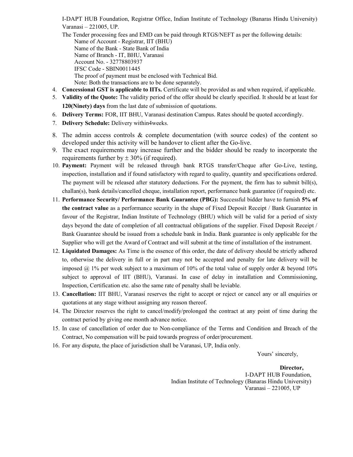I-DAPT HUB Foundation, Registrar Office, Indian Institute of Technology (Banaras Hindu University) Varanasi – 221005, UP.

- The Tender processing fees and EMD can be paid through RTGS/NEFT as per the following details: Name of Account - Registrar, IIT (BHU) Name of the Bank - State Bank of India Name of Branch - IT, BHU, Varanasi Account No. - 32778803937 IFSC Code - SBIN0011445 The proof of payment must be enclosed with Technical Bid. Note: Both the transactions are to be done separately.
- 4. Concessional GST is applicable to IITs. Certificate will be provided as and when required, if applicable.
- 5. Validity of the Quote: The validity period of the offer should be clearly specified. It should be at least for 120(Ninety) days from the last date of submission of quotations.
- 6. Delivery Terms: FOR, IIT BHU, Varanasi destination Campus. Rates should be quoted accordingly.
- 7. Delivery Schedule: Delivery within4weeks.
- 8. The admin access controls & complete documentation (with source codes) of the content so developed under this activity will be handover to client after the Go-live.
- 9. The exact requirements may increase further and the bidder should be ready to incorporate the requirements further by  $\pm$  30% (if required).
- 10. Payment: Payment will be released through bank RTGS transfer/Cheque after Go-Live, testing, inspection, installation and if found satisfactory with regard to quality, quantity and specifications ordered. The payment will be released after statutory deductions. For the payment, the firm has to submit bill(s), challan(s), bank details/cancelled cheque, installation report, performance bank guarantee (if required) etc.
- 11. Performance Security/ Performance Bank Guarantee (PBG): Successful bidder have to furnish 5% of the contract value as a performance security in the shape of Fixed Deposit Receipt / Bank Guarantee in favour of the Registrar, Indian Institute of Technology (BHU) which will be valid for a period of sixty days beyond the date of completion of all contractual obligations of the supplier. Fixed Deposit Receipt / Bank Guarantee should be issued from a schedule bank in India. Bank guarantee is only applicable for the Supplier who will get the Award of Contract and will submit at the time of installation of the instrument.
- 12. Liquidated Damages: As Time is the essence of this order, the date of delivery should be strictly adhered to, otherwise the delivery in full or in part may not be accepted and penalty for late delivery will be imposed  $(a)$  1% per week subject to a maximum of 10% of the total value of supply order & beyond 10% subject to approval of IIT (BHU), Varanasi. In case of delay in installation and Commissioning, Inspection, Certification etc. also the same rate of penalty shall be leviable.
- 13. Cancellation: IIT BHU, Varanasi reserves the right to accept or reject or cancel any or all enquiries or quotations at any stage without assigning any reason thereof.
- 14. The Director reserves the right to cancel/modify/prolonged the contract at any point of time during the contract period by giving one month advance notice.
- 15. In case of cancellation of order due to Non-compliance of the Terms and Condition and Breach of the Contract, No compensation will be paid towards progress of order/procurement.
- 16. For any dispute, the place of jurisdiction shall be Varanasi, UP, India only.

Yours' sincerely,

Director, I-DAPT HUB Foundation, Indian Institute of Technology (Banaras Hindu University) Varanasi – 221005, UP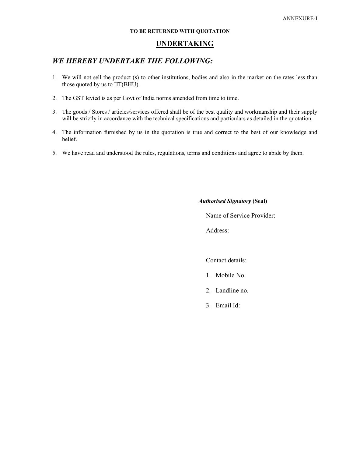### TO BE RETURNED WITH QUOTATION

# UNDERTAKING

# WE HEREBY UNDERTAKE THE FOLLOWING:

- 1. We will not sell the product (s) to other institutions, bodies and also in the market on the rates less than those quoted by us to IIT(BHU).
- 2. The GST levied is as per Govt of India norms amended from time to time.
- 3. The goods / Stores / articles/services offered shall be of the best quality and workmanship and their supply will be strictly in accordance with the technical specifications and particulars as detailed in the quotation.
- 4. The information furnished by us in the quotation is true and correct to the best of our knowledge and belief.
- 5. We have read and understood the rules, regulations, terms and conditions and agree to abide by them.

#### Authorised Signatory (Seal)

Name of Service Provider:

Address:

Contact details:

- 1. Mobile No.
- 2. Landline no.
- 3. Email Id: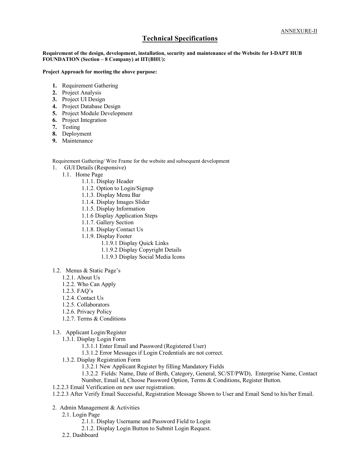# Technical Specifications

Requirement of the design, development, installation, security and maintenance of the Website for I-DAPT HUB FOUNDATION (Section – 8 Company) at IIT(BHU):

#### Project Approach for meeting the above purpose:

- 1. Requirement Gathering
- 2. Project Analysis
- 3. Project UI Design
- 4. Project Database Design
- 5. Project Module Development
- 6. Project Integration
- 7. Testing
- 8. Deployment
- 9. Maintenance

Requirement Gathering/ Wire Frame for the website and subsequent development

- 1. GUI Details (Responsive)
	- 1.1. Home Page
		- 1.1.1. Display Header
		- 1.1.2. Option to Login/Signup
		- 1.1.3. Display Menu Bar
		- 1.1.4. Display Images Slider
		- 1.1.5. Display Information
		- 1.1.6 Display Application Steps
		- 1.1.7. Gallery Section
		- 1.1.8. Display Contact Us
		- 1.1.9. Display Footer
			- 1.1.9.1 Display Quick Links
			- 1.1.9.2 Display Copyright Details
			- 1.1.9.3 Display Social Media Icons
- 1.2. Menus & Static Page's
	- 1.2.1. About Us
	- 1.2.2. Who Can Apply
	- 1.2.3. FAQ's
	- 1.2.4. Contact Us
	- 1.2.5. Collaborators
	- 1.2.6. Privacy Policy
	- 1.2.7. Terms & Conditions
- 1.3. Applicant Login/Register
	- 1.3.1. Display Login Form
		- 1.3.1.1 Enter Email and Password (Registered User)
		- 1.3.1.2 Error Messages if Login Credentials are not correct.
	- 1.3.2. Display Registration Form
		- 1.3.2.1 New Applicant Register by filling Mandatory Fields
		- 1.3.2.2 Fields: Name, Date of Birth, Category, General, SC/ST/PWD), Enterprise Name, Contact Number, Email id, Choose Password Option, Terms & Conditions, Register Button.
- 1.2.2.3 Email Verification on new user registration.
- 1.2.2.3 After Verify Email Successful, Registration Message Shown to User and Email Send to his/her Email.
- 2. Admin Management & Activities
	- 2.1. Login Page
		- 2.1.1. Display Username and Password Field to Login
		- 2.1.2. Display Login Button to Submit Login Request.
	- 2.2. Dashboard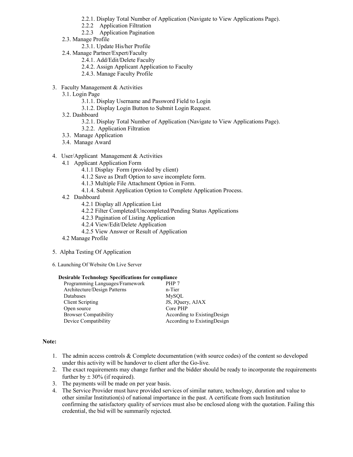- 2.2.1. Display Total Number of Application (Navigate to View Applications Page).
- 2.2.2 Application Filtration
- 2.2.3 Application Pagination
- 2.3. Manage Profile
	- 2.3.1. Update His/her Profile
- 2.4. Manage Partner/Expert/Faculty
	- 2.4.1. Add/Edit/Delete Faculty
	- 2.4.2. Assign Applicant Application to Faculty
	- 2.4.3. Manage Faculty Profile
- 3. Faculty Management & Activities
	- 3.1. Login Page
		- 3.1.1. Display Username and Password Field to Login
		- 3.1.2. Display Login Button to Submit Login Request.
	- 3.2. Dashboard
		- 3.2.1. Display Total Number of Application (Navigate to View Applications Page).
		- 3.2.2. Application Filtration
	- 3.3. Manage Application
	- 3.4. Manage Award
- 4. User/Applicant Management & Activities
	- 4.1 Applicant Application Form
		- 4.1.1 Display Form (provided by client)
			- 4.1.2 Save as Draft Option to save incomplete form.
		- 4.1.3 Multiple File Attachment Option in Form.
		- 4.1.4. Submit Application Option to Complete Application Process.
	- 4.2 Dashboard
		- 4.2.1 Display all Application List
		- 4.2.2 Filter Completed/Uncompleted/Pending Status Applications
		- 4.2.3 Pagination of Listing Application
		- 4.2.4 View/Edit/Delete Application
		- 4.2.5 View Answer or Result of Application
	- 4.2 Manage Profile
- 5. Alpha Testing Of Application
- 6. Launching Of Website On Live Server

#### Desirable Technology Specifications for compliance

| Programming Languages/Framework | PHP 7                        |
|---------------------------------|------------------------------|
| Architecture/Design Patterns    | n-Tier                       |
| Databases                       | MySOL                        |
| Client Scripting                | JS, JQuery, AJAX             |
| Open source                     | Core PHP                     |
| <b>Browser Compatibility</b>    | According to ExistingDesign  |
| Device Compatibility            | According to Existing Design |

## Note:

- 1. The admin access controls & Complete documentation (with source codes) of the content so developed under this activity will be handover to client after the Go-live.
- 2. The exact requirements may change further and the bidder should be ready to incorporate the requirements further by  $\pm 30\%$  (if required).
- 3. The payments will be made on per year basis.
- 4. The Service Provider must have provided services of similar nature, technology, duration and value to other similar Institution(s) of national importance in the past. A certificate from such Institution confirming the satisfactory quality of services must also be enclosed along with the quotation. Failing this credential, the bid will be summarily rejected.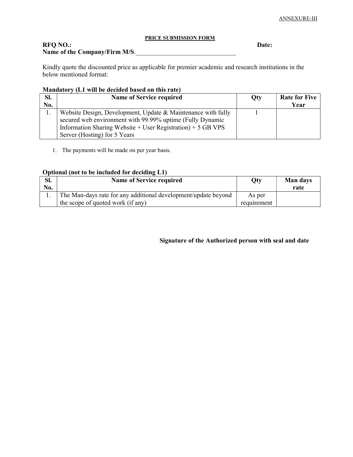# PRICE SUBMISSION FORM

RFQ NO.: Date: Name of the Company/Firm M/S.

Kindly quote the discounted price as applicable for premier academic and research institutions in the below mentioned format:

# Mandatory (L1 will be decided based on this rate)

| SI. | <b>Name of Service required</b>                                 | Oty | <b>Rate for Five</b> |
|-----|-----------------------------------------------------------------|-----|----------------------|
| No. |                                                                 |     | Year                 |
|     | Website Design, Development, Update & Maintenance with fully    |     |                      |
|     | secured web environment with 99.99% uptime (Fully Dynamic       |     |                      |
|     | Information Sharing Website $+$ User Registration) $+$ 5 GB VPS |     |                      |
|     | Server (Hosting) for 5 Years                                    |     |                      |

1. The payments will be made on per year basis.

## Optional (not to be included for deciding L1)

| SI.<br>No. | <b>Name of Service required</b>                                                                     | <b>Qty</b>            | <b>Man days</b><br>rate |
|------------|-----------------------------------------------------------------------------------------------------|-----------------------|-------------------------|
|            | The Man-days rate for any additional development/update beyond<br>the scope of quoted work (if any) | As per<br>requirement |                         |

Signature of the Authorized person with seal and date